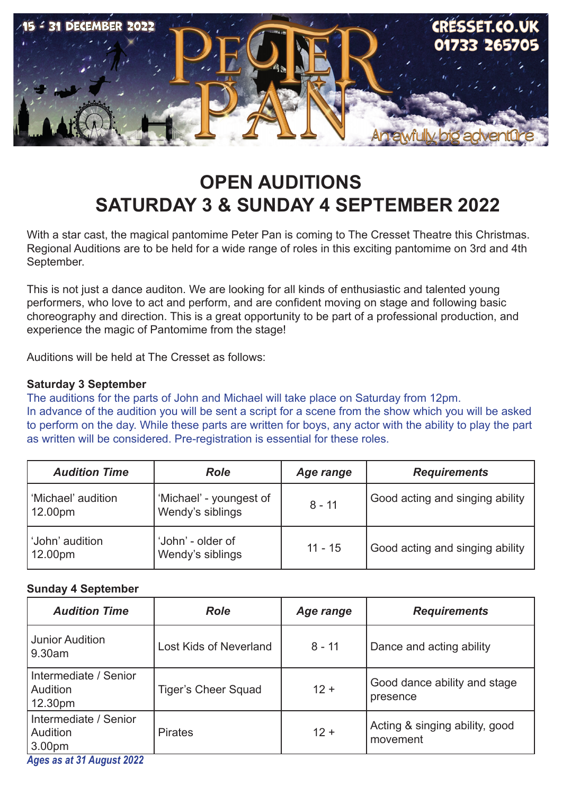

# **OPEN AUDITIONS SATURDAY 3 & SUNDAY 4 SEPTEMBER 2022**

With a star cast, the magical pantomime Peter Pan is coming to The Cresset Theatre this Christmas. Regional Auditions are to be held for a wide range of roles in this exciting pantomime on 3rd and 4th September.

This is not just a dance auditon. We are looking for all kinds of enthusiastic and talented young performers, who love to act and perform, and are confident moving on stage and following basic choreography and direction. This is a great opportunity to be part of a professional production, and experience the magic of Pantomime from the stage!

Auditions will be held at The Cresset as follows:

#### **Saturday 3 September**

The auditions for the parts of John and Michael will take place on Saturday from 12pm. In advance of the audition you will be sent a script for a scene from the show which you will be asked to perform on the day. While these parts are written for boys, any actor with the ability to play the part as written will be considered. Pre-registration is essential for these roles.

| <b>Audition Time</b>          | <b>Role</b>                                 | Age range | <b>Requirements</b>             |
|-------------------------------|---------------------------------------------|-----------|---------------------------------|
| 'Michael' audition<br>12.00pm | 'Michael' - youngest of<br>Wendy's siblings | $8 - 11$  | Good acting and singing ability |
| 'John' audition<br>12.00pm    | 'John' - older of<br>Wendy's siblings       | $11 - 15$ | Good acting and singing ability |

#### **Sunday 4 September**

| $8 - 11$ | Dance and acting ability                   |
|----------|--------------------------------------------|
|          |                                            |
| $12 +$   | Good dance ability and stage<br>presence   |
| $12 +$   | Acting & singing ability, good<br>movement |
|          |                                            |

*Ages as at 31 August 2022*